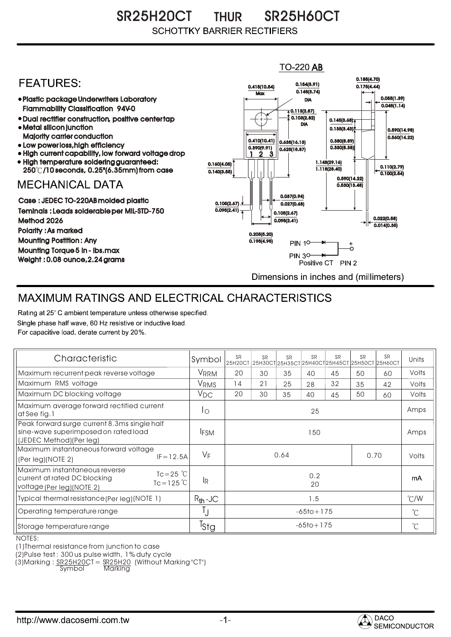SR25H20CT THUR SR25H60CT **SCHOTTKY BARRIER RECTIFIERS** 

## $TO-220$  AB 0.185(4.70) **FEATURES:** 0.154(3.91) 0.415(10.54) 0.175(4.44)  $0.148(3.74)$ **Max** Plastic package Underwriters Laboratory 0.055(1.39) DIA  $0.045(1.14)$ Flammability Classification 94V-0  $\overline{4}$  0.113(2.87) 0.103(2.82) Dual rectifier construction, positive center tap 0.145(3.68) DIA Metal silicon junction  $0.135(3.43)$ 0.590(14.98) Majority carrier conduction  $0.560(14.22)$ 0.410(10.41) 0.380(8.89) 0.635(16.13) • Low power loss, high efficiency 0.330(8.38)) 0.390(9.91)  $0.625(15.87)$ High current capability, low forward voltage drop 1 3 2 High temperature soldering guaranteed: 1.148(29.16) 0.160(4.05) 0.110(2.79) 250 /10 seconds, 0.25"(6.35mm) from case 1.118(28.40) 0.140(3.55)  $\overline{0.100(2.54)}$ 0.590(14.22) **MECHANICAL DATA**  $0.530(13.48)$ 0.037(0.94) Case : JEDEC TO-220AB molded plastic 0.105(2.67)  $0.027(0.68)$ Teminals : Leads solderable per MIL-STD-750  $0.095(2.41)$ 0.105(2.67) 0.022(0.58) Method 2026  $0.095(2.41)$  $0.014(0.35)$ Polarity : As marked 0.205(5.20) Mounting Postition : Any 0.195(4.95) **PIN 10-** $_{\circ}^{+}$ Mounting Torque 5 in - lbs.max **PIN 30-**÷. Weight : 0.08 ounce,2.24 grams Positive CT PIN 2 Dimensions in inches and (millimeters)

## MAXIMUM RATINGS AND ELECTRICAL CHARACTERISTICS

Rating at 25° C ambient temperature unless otherwise specified. Single phase half wave, 60 Hz resistive or inductive load. For capacitive load, derate current by 20%.

| Characteristic                                                                                                                              | Symbol           | SR<br>25H20CT  | <b>SR</b> | <b>SR</b> | <b>SR</b> | <b>SR</b> | <b>SR</b><br>25Н30СТ 25Н35СТ 25Н40СТ 25Н45СТ 25Н50СТ 25Н60СТ | <b>SR</b>    | Units        |
|---------------------------------------------------------------------------------------------------------------------------------------------|------------------|----------------|-----------|-----------|-----------|-----------|--------------------------------------------------------------|--------------|--------------|
| Maximum recurrent peak reverse voltage                                                                                                      | <b>VRRM</b>      | 20             | 30        | 35        | 40        | 45        | 50                                                           | 60           | Volts        |
| Maximum RMS voltage                                                                                                                         | <b>VRMS</b>      | 14             | 21        | 25        | 28        | 32        | 35                                                           | 42           | Volts        |
| Maximum DC blocking voltage                                                                                                                 | $V_{DC}$         | 20             | 30        | 35        | 40        | 45        | 50                                                           | 60           | Volts        |
| Maximum average forward rectified current<br>at See fig. 1                                                                                  | Ιo               | 25             |           |           |           |           |                                                              |              | Amps         |
| Peak forward surge current 8.3ms single half<br>sine-wave superimposed on rated load<br>(JEDEC Method) (Per leg)                            | <b>IFSM</b>      | 150            |           |           |           |           |                                                              |              | Amps         |
| Maximum instantaneous forward voltage<br>$IF = 12.5A$<br>(Per leg)(NOTE 2)                                                                  | $V_F$            | 0.64<br>0.70   |           |           |           |           |                                                              | Volts        |              |
| Maximum instantaneous reverse<br>$Tc = 25$ $\degree$ C<br>current at rated DC blocking<br>$Tc = 125^{\circ}C$<br>voltage (Per leg) (NOTE 2) | lR.              | 0.2<br>20      |           |           |           |           |                                                              |              | mA           |
| Typical thermal resistance (Per leg) (NOTE 1)                                                                                               | $R_{th}$ -JC     |                | 1.5       |           |           |           |                                                              |              |              |
| Operating temperature range                                                                                                                 |                  | $-65$ to + 175 |           |           |           |           |                                                              | $^{\circ}$ C |              |
| Storage temperature range                                                                                                                   | <sup>I</sup> Stg | $-65$ to + 175 |           |           |           |           |                                                              |              | $^{\circ}$ C |

NOTES:

(1)Thermal resistance from junction to case

(2)Pulse test : 300 us pulse width, 1% duty cycle

(3)Marking : <u>SR25H20CT = SR25H20</u> (Without Marking "CT")

Symbol Marking